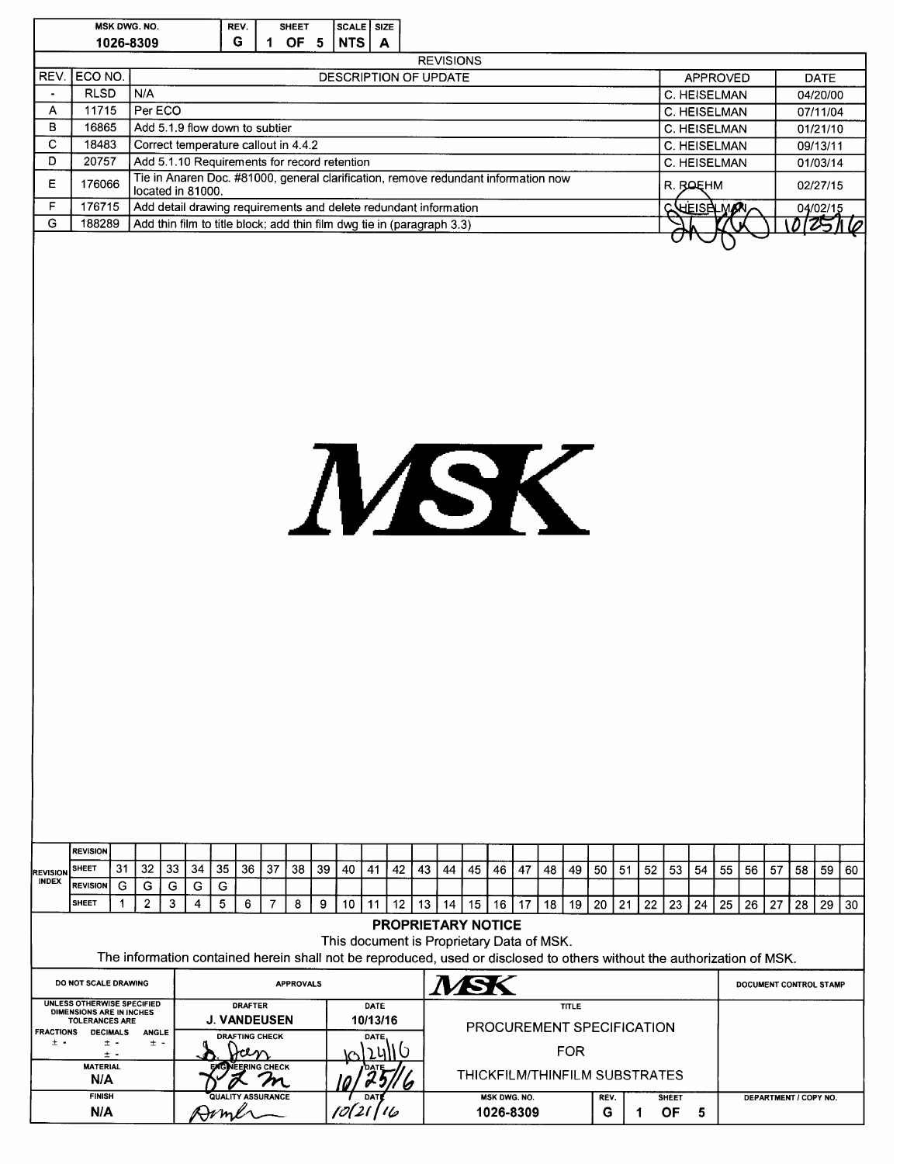|                                                                                                                                                               |                        |           | MSK DWG. NO.                                                                         |    |    |      | REV.<br>G        | 1                        | SHEET            |    | SCALE SIZE |                 |                           |    |                                                                                                                                            |    |    |                               |    |    |      |    |    |              |                              |    |    |                        |                         |    |
|---------------------------------------------------------------------------------------------------------------------------------------------------------------|------------------------|-----------|--------------------------------------------------------------------------------------|----|----|------|------------------|--------------------------|------------------|----|------------|-----------------|---------------------------|----|--------------------------------------------------------------------------------------------------------------------------------------------|----|----|-------------------------------|----|----|------|----|----|--------------|------------------------------|----|----|------------------------|-------------------------|----|
|                                                                                                                                                               |                        | 1026-8309 |                                                                                      |    |    |      |                  |                          | OF <sub>5</sub>  |    | <b>NTS</b> |                 | $\mathbf{A}$              |    | <b>REVISIONS</b>                                                                                                                           |    |    |                               |    |    |      |    |    |              |                              |    |    |                        |                         |    |
|                                                                                                                                                               | REV. ECO NO.           |           |                                                                                      |    |    |      |                  |                          |                  |    |            |                 |                           |    | DESCRIPTION OF UPDATE                                                                                                                      |    |    |                               |    |    |      |    |    |              | APPROVED                     |    |    |                        | <b>DATE</b>             |    |
| $\bullet$                                                                                                                                                     | <b>RLSD</b>            |           | N/A                                                                                  |    |    |      |                  |                          |                  |    |            |                 |                           |    |                                                                                                                                            |    |    |                               |    |    |      |    |    |              | C. HEISELMAN                 |    |    |                        | 04/20/00                |    |
| Α                                                                                                                                                             | 11715                  |           | Per ECO                                                                              |    |    |      |                  |                          |                  |    |            |                 |                           |    |                                                                                                                                            |    |    |                               |    |    |      |    |    |              | C. HEISELMAN                 |    |    |                        | 07/11/04                |    |
| в                                                                                                                                                             | 16865                  |           | Add 5.1.9 flow down to subtier                                                       |    |    |      |                  |                          |                  |    |            |                 |                           |    |                                                                                                                                            |    |    |                               |    |    |      |    |    |              | C. HEISELMAN                 |    |    |                        | 01/21/10                |    |
| $\mathbf C$<br>D                                                                                                                                              | 18483<br>20757         |           | Correct temperature callout in 4.4.2<br>Add 5.1.10 Requirements for record retention |    |    |      |                  |                          |                  |    |            |                 |                           |    |                                                                                                                                            |    |    |                               |    |    |      |    |    |              | C. HEISELMAN<br>C. HEISELMAN |    |    |                        | 09/13/11<br>01/03/14    |    |
|                                                                                                                                                               |                        |           |                                                                                      |    |    |      |                  |                          |                  |    |            |                 |                           |    | Tie in Anaren Doc. #81000, general clarification, remove redundant information now                                                         |    |    |                               |    |    |      |    |    |              |                              |    |    |                        |                         |    |
| E                                                                                                                                                             | 176066                 |           | located in 81000.                                                                    |    |    |      |                  |                          |                  |    |            |                 |                           |    |                                                                                                                                            |    |    |                               |    |    |      |    |    | R. ROEHM     |                              |    |    |                        | 02/27/15                |    |
| F<br>G                                                                                                                                                        | 176715<br>188289       |           |                                                                                      |    |    |      |                  |                          |                  |    |            |                 |                           |    | Add detail drawing requirements and delete redundant information<br>Add thin film to title block; add thin film dwg tie in (paragraph 3.3) |    |    |                               |    |    |      |    |    |              | <b>CHEISELWAY</b>            |    |    |                        | 04/02/15<br>0 0 25 1 10 |    |
|                                                                                                                                                               |                        |           |                                                                                      |    |    |      |                  |                          |                  |    |            |                 |                           |    |                                                                                                                                            |    |    |                               |    |    |      |    |    |              |                              |    |    |                        |                         |    |
|                                                                                                                                                               | <b>REVISION</b>        |           |                                                                                      |    |    |      |                  |                          |                  |    |            |                 |                           |    | MSK                                                                                                                                        |    |    |                               |    |    |      |    |    |              |                              |    |    |                        |                         |    |
| <b>REVISION</b>                                                                                                                                               | <b>SHEET</b>           | 31        | 32                                                                                   | 33 | 34 | 35   | 36 I             | 37                       | 38               | 39 | 40         | 41              | 42                        | 43 | 44                                                                                                                                         | 45 | 46 | 47                            | 48 | 49 | 50   | 51 | 52 | 53           | 54<br>55                     | 56 | 57 | 58                     | 59                      | 60 |
| <b>INDEX</b>                                                                                                                                                  | <b>REVISION</b>        | G         | G                                                                                    | G  | G  | G    |                  |                          |                  |    |            |                 |                           |    |                                                                                                                                            |    |    |                               |    |    |      |    |    |              |                              |    |    |                        |                         |    |
|                                                                                                                                                               | <b>SHEET</b>           | 1         | $\overline{2}$                                                                       | 3  | 4  | 5    | 6                | $\overline{7}$           | 8                | 9  | 10         | 11              | 12                        | 13 | 14                                                                                                                                         | 15 |    | $16$   17                     | 18 | 19 | 20   | 21 | 22 | 23           | 25<br>24                     | 26 | 27 | 28                     | 29                      | 30 |
|                                                                                                                                                               |                        |           |                                                                                      |    |    |      |                  |                          |                  |    |            |                 |                           |    | <b>PROPRIETARY NOTICE</b>                                                                                                                  |    |    |                               |    |    |      |    |    |              |                              |    |    |                        |                         |    |
|                                                                                                                                                               |                        |           |                                                                                      |    |    |      |                  |                          |                  |    |            |                 |                           |    | This document is Proprietary Data of MSK.                                                                                                  |    |    |                               |    |    |      |    |    |              |                              |    |    |                        |                         |    |
| The information contained herein shall not be reproduced, used or disclosed to others without the authorization of MSK.<br><i>NSK</i><br>DO NOT SCALE DRAWING |                        |           |                                                                                      |    |    |      |                  |                          |                  |    |            |                 |                           |    |                                                                                                                                            |    |    |                               |    |    |      |    |    |              |                              |    |    |                        |                         |    |
|                                                                                                                                                               |                        |           |                                                                                      |    |    |      |                  |                          | <b>APPROVALS</b> |    |            |                 |                           |    |                                                                                                                                            |    |    |                               |    |    |      |    |    |              |                              |    |    | DOCUMENT CONTROL STAMP |                         |    |
| <b>UNLESS OTHERWISE SPECIFIED</b><br><b>DRAFTER</b><br>DIMENSIONS ARE IN INCHES<br><b>J. VANDEUSEN</b>                                                        |                        |           |                                                                                      |    |    |      | DATE<br>10/13/16 |                          |                  |    |            |                 |                           |    | <b>TITLE</b>                                                                                                                               |    |    |                               |    |    |      |    |    |              |                              |    |    |                        |                         |    |
| TOLERANCES ARE<br><b>FRACTIONS</b><br><b>DECIMALS</b><br><b>ANGLE</b><br><b>DRAFTING CHECK</b><br>$± -$                                                       |                        |           |                                                                                      |    |    |      | DATE             |                          |                  |    |            |                 | PROCUREMENT SPECIFICATION |    |                                                                                                                                            |    |    |                               |    |    |      |    |    |              |                              |    |    |                        |                         |    |
| $\pm$ $\cdot$<br>± -<br><b>FOR</b><br>± -                                                                                                                     |                        |           |                                                                                      |    |    |      |                  |                          |                  |    |            |                 |                           |    |                                                                                                                                            |    |    |                               |    |    |      |    |    |              |                              |    |    |                        |                         |    |
|                                                                                                                                                               | <b>MATERIAL</b><br>N/A |           |                                                                                      |    |    |      |                  | VEERING CHECK            |                  |    |            |                 |                           |    |                                                                                                                                            |    |    | THICKFILM/THINFILM SUBSTRATES |    |    |      |    |    |              |                              |    |    |                        |                         |    |
|                                                                                                                                                               | <b>FINISH</b>          |           |                                                                                      |    |    |      |                  | <b>QUALITY ASSURANCE</b> |                  |    |            | DA <sub>1</sub> |                           |    |                                                                                                                                            |    |    | MSK DWG. NO.                  |    |    | REV. |    |    | <b>SHEET</b> |                              |    |    | DEPARTMENT / COPY NO.  |                         |    |
|                                                                                                                                                               | N/A                    |           |                                                                                      |    |    | Doml |                  |                          |                  |    |            |                 |                           |    |                                                                                                                                            |    |    | 1026-8309                     |    |    | G    |    |    | <b>OF</b>    | 5                            |    |    |                        |                         |    |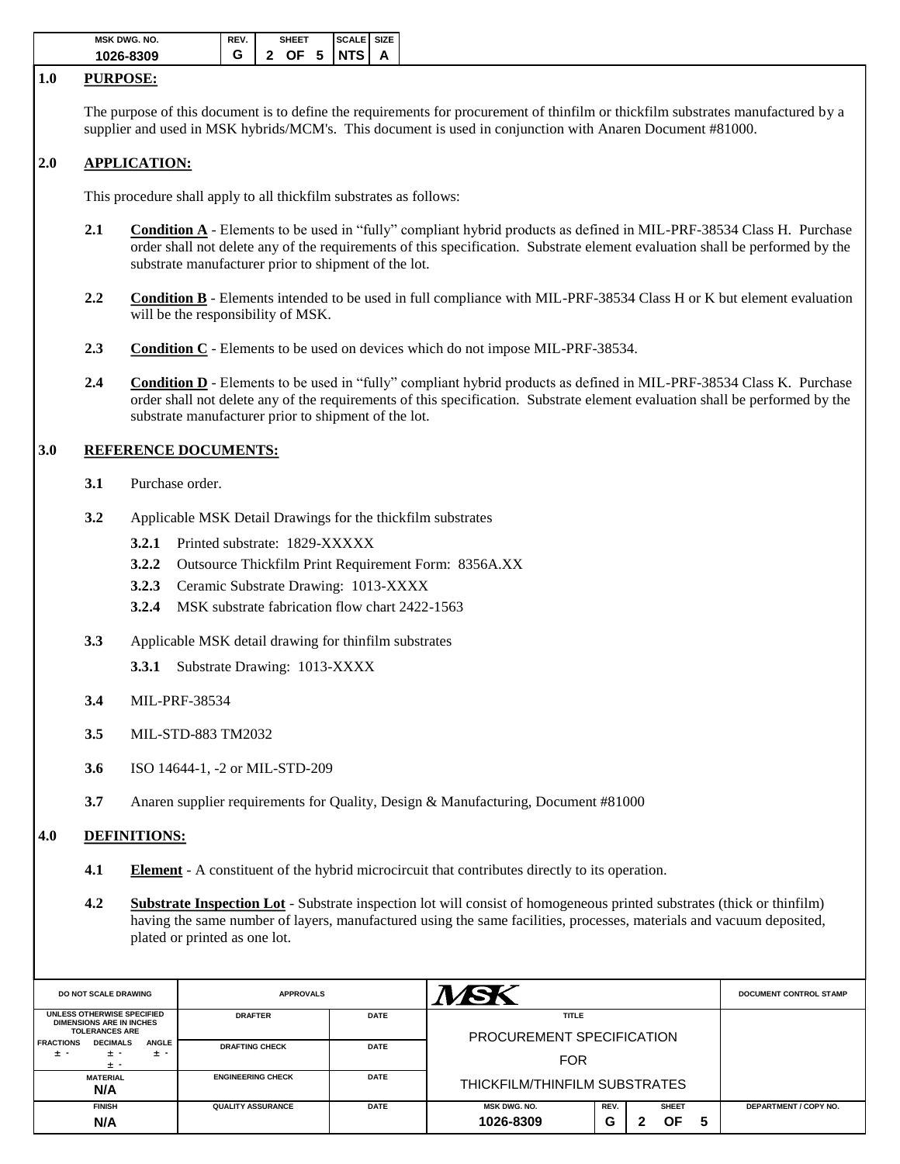| <b>MSK DWG, NO.</b> | REV. | <b>SHEET</b> | <b>SCALE SIZE</b> |   |
|---------------------|------|--------------|-------------------|---|
| 1026-8309           |      | 2<br>OF.     | 5 INTS            | А |

#### **1.0 PURPOSE:**

The purpose of this document is to define the requirements for procurement of thinfilm or thickfilm substrates manufactured by a supplier and used in MSK hybrids/MCM's. This document is used in conjunction with Anaren Document #81000.

### **2.0 APPLICATION:**

This procedure shall apply to all thickfilm substrates as follows:

- 2.1 **Condition A** Elements to be used in "fully" compliant hybrid products as defined in MIL-PRF-38534 Class H. Purchase order shall not delete any of the requirements of this specification. Substrate element evaluation shall be performed by the substrate manufacturer prior to shipment of the lot.
- **2.2 Condition B** Elements intended to be used in full compliance with MIL-PRF-38534 Class H or K but element evaluation will be the responsibility of MSK.
- **2.3 Condition C** Elements to be used on devices which do not impose MIL-PRF-38534.
- 2.4 **Condition D** Elements to be used in "fully" compliant hybrid products as defined in MIL-PRF-38534 Class K. Purchase order shall not delete any of the requirements of this specification. Substrate element evaluation shall be performed by the substrate manufacturer prior to shipment of the lot.

#### **3.0 REFERENCE DOCUMENTS:**

- **3.1** Purchase order.
- **3.2** Applicable MSK Detail Drawings for the thickfilm substrates
	- **3.2.1** Printed substrate: 1829-XXXXX
	- **3.2.2** Outsource Thickfilm Print Requirement Form: 8356A.XX
	- **3.2.3** Ceramic Substrate Drawing: 1013-XXXX
	- **3.2.4** MSK substrate fabrication flow chart 2422-1563
- **3.3** Applicable MSK detail drawing for thinfilm substrates
	- **3.3.1** Substrate Drawing: 1013-XXXX
- **3.4** MIL-PRF-38534
- **3.5** MIL-STD-883 TM2032
- **3.6** ISO 14644-1, -2 or MIL-STD-209
- **3.7** Anaren supplier requirements for Quality, Design & Manufacturing, Document #81000

#### **4.0 DEFINITIONS:**

- **4.1 Element** A constituent of the hybrid microcircuit that contributes directly to its operation.
- **4.2 Substrate Inspection Lot** Substrate inspection lot will consist of homogeneous printed substrates (thick or thinfilm) having the same number of layers, manufactured using the same facilities, processes, materials and vacuum deposited, plated or printed as one lot.

| <b>DO NOT SCALE DRAWING</b>                                                            | <b>APPROVALS</b>                        |             |                                           | <b>DOCUMENT CONTROL STAMP</b> |  |                    |   |                              |
|----------------------------------------------------------------------------------------|-----------------------------------------|-------------|-------------------------------------------|-------------------------------|--|--------------------|---|------------------------------|
| UNLESS OTHERWISE SPECIFIED<br><b>DIMENSIONS ARE IN INCHES</b><br><b>TOLERANCES ARE</b> | <b>DRAFTER</b>                          | <b>DATE</b> | <b>TITLE</b><br>PROCUREMENT SPECIFICATION |                               |  |                    |   |                              |
| <b>DECIMALS</b><br><b>ANGLE</b><br><b>FRACTIONS</b><br>± -<br>± -<br>± -<br>$\pm$ -    | <b>DRAFTING CHECK</b>                   | <b>DATE</b> | <b>FOR</b>                                |                               |  |                    |   |                              |
| <b>MATERIAL</b><br>N/A                                                                 | <b>ENGINEERING CHECK</b>                | <b>DATE</b> | THICKFILM/THINFILM SUBSTRATES             |                               |  |                    |   |                              |
| <b>FINISH</b><br>N/A                                                                   | <b>DATE</b><br><b>QUALITY ASSURANCE</b> |             | <b>MSK DWG. NO.</b><br>1026-8309          | REV.<br>G                     |  | <b>SHEET</b><br>ΟF | 5 | <b>DEPARTMENT / COPY NO.</b> |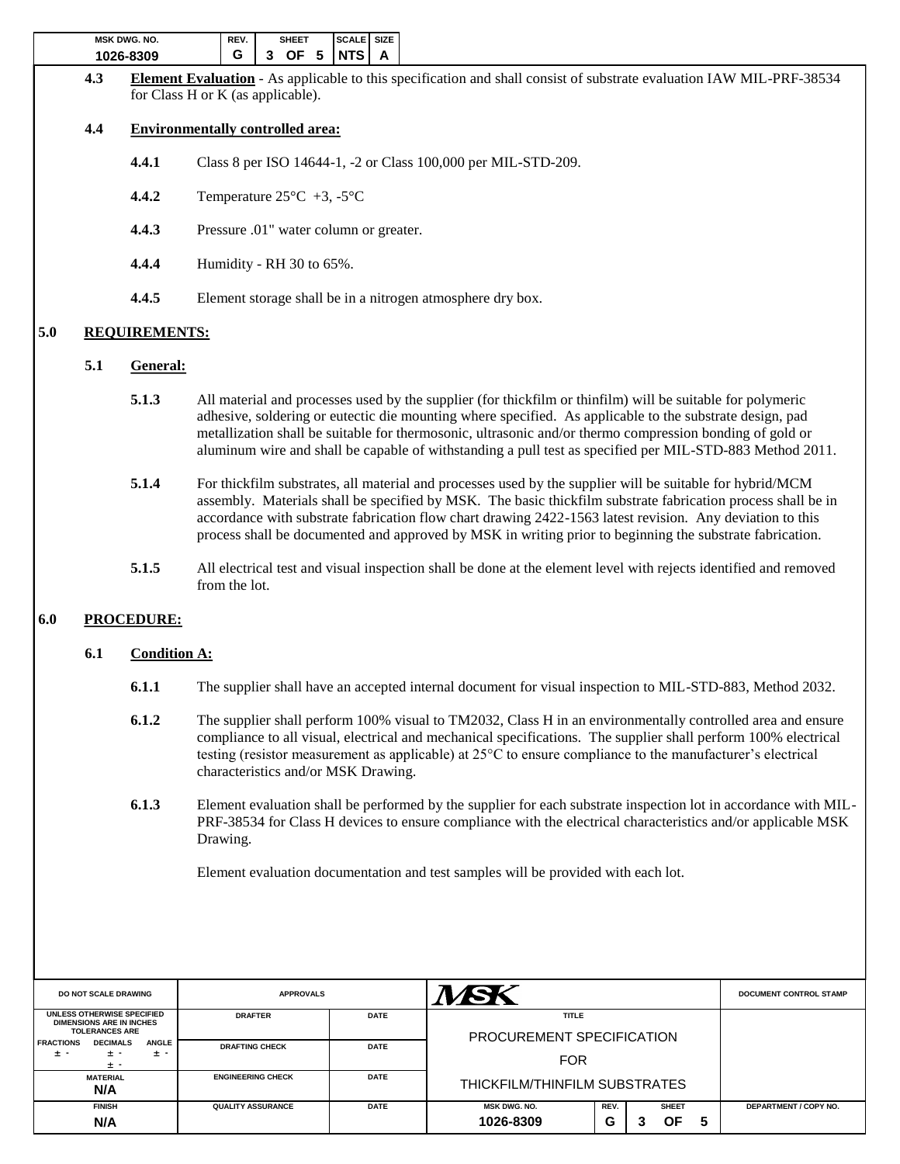| <b>MSK DWG. NO.</b> | REV.<br><b>IEET</b> |               |             |  |
|---------------------|---------------------|---------------|-------------|--|
| 1026-8309           | G                   | 3<br>5.<br>ОF | <b>INTS</b> |  |

**4.3 Element Evaluation** - As applicable to this specification and shall consist of substrate evaluation IAW MIL-PRF-38534 for Class H or K (as applicable).

### **4.4 Environmentally controlled area:**

- **4.4.1** Class 8 per ISO 14644-1, -2 or Class 100,000 per MIL-STD-209.
- **4.4.2** Temperature 25°C +3, -5°C
- **4.4.3** Pressure .01" water column or greater.
- **4.4.4** Humidity RH 30 to 65%.
- **4.4.5** Element storage shall be in a nitrogen atmosphere dry box.

## **5.0 REQUIREMENTS:**

### **5.1 General:**

- **5.1.3** All material and processes used by the supplier (for thickfilm or thinfilm) will be suitable for polymeric adhesive, soldering or eutectic die mounting where specified. As applicable to the substrate design, pad metallization shall be suitable for thermosonic, ultrasonic and/or thermo compression bonding of gold or aluminum wire and shall be capable of withstanding a pull test as specified per MIL-STD-883 Method 2011.
- **5.1.4** For thickfilm substrates, all material and processes used by the supplier will be suitable for hybrid/MCM assembly. Materials shall be specified by MSK. The basic thickfilm substrate fabrication process shall be in accordance with substrate fabrication flow chart drawing 2422-1563 latest revision. Any deviation to this process shall be documented and approved by MSK in writing prior to beginning the substrate fabrication.
- **5.1.5** All electrical test and visual inspection shall be done at the element level with rejects identified and removed from the lot.

## **6.0 PROCEDURE:**

### **6.1 Condition A:**

- **6.1.1** The supplier shall have an accepted internal document for visual inspection to MIL-STD-883, Method 2032.
- **6.1.2** The supplier shall perform 100% visual to TM2032, Class H in an environmentally controlled area and ensure compliance to all visual, electrical and mechanical specifications. The supplier shall perform 100% electrical testing (resistor measurement as applicable) at 25°C to ensure compliance to the manufacturer's electrical characteristics and/or MSK Drawing.
- **6.1.3** Element evaluation shall be performed by the supplier for each substrate inspection lot in accordance with MIL-PRF-38534 for Class H devices to ensure compliance with the electrical characteristics and/or applicable MSK Drawing.

Element evaluation documentation and test samples will be provided with each lot.

| <b>DO NOT SCALE DRAWING</b>                                                                                             | <b>APPROVALS</b>         |             |                                           | <b>DOCUMENT CONTROL STAMP</b> |  |    |   |                       |
|-------------------------------------------------------------------------------------------------------------------------|--------------------------|-------------|-------------------------------------------|-------------------------------|--|----|---|-----------------------|
| UNLESS OTHERWISE SPECIFIED<br><b>DATE</b><br><b>DRAFTER</b><br><b>DIMENSIONS ARE IN INCHES</b><br><b>TOLERANCES ARE</b> |                          |             | <b>TITLE</b><br>PROCUREMENT SPECIFICATION |                               |  |    |   |                       |
| <b>DECIMALS</b><br><b>ANGLE</b><br><b>FRACTIONS</b><br>± -<br>± -<br>± -<br>± -                                         | <b>DRAFTING CHECK</b>    | <b>DATE</b> | <b>FOR</b>                                |                               |  |    |   |                       |
| <b>MATERIAL</b><br>N/A                                                                                                  | <b>ENGINEERING CHECK</b> | <b>DATE</b> | THICKFILM/THINFILM SUBSTRATES             |                               |  |    |   |                       |
| <b>FINISH</b>                                                                                                           | <b>QUALITY ASSURANCE</b> | <b>DATE</b> | <b>MSK DWG. NO.</b>                       | REV.<br><b>SHEET</b>          |  |    |   | DEPARTMENT / COPY NO. |
| N/A                                                                                                                     |                          |             | 1026-8309                                 | G                             |  | ΟF | 5 |                       |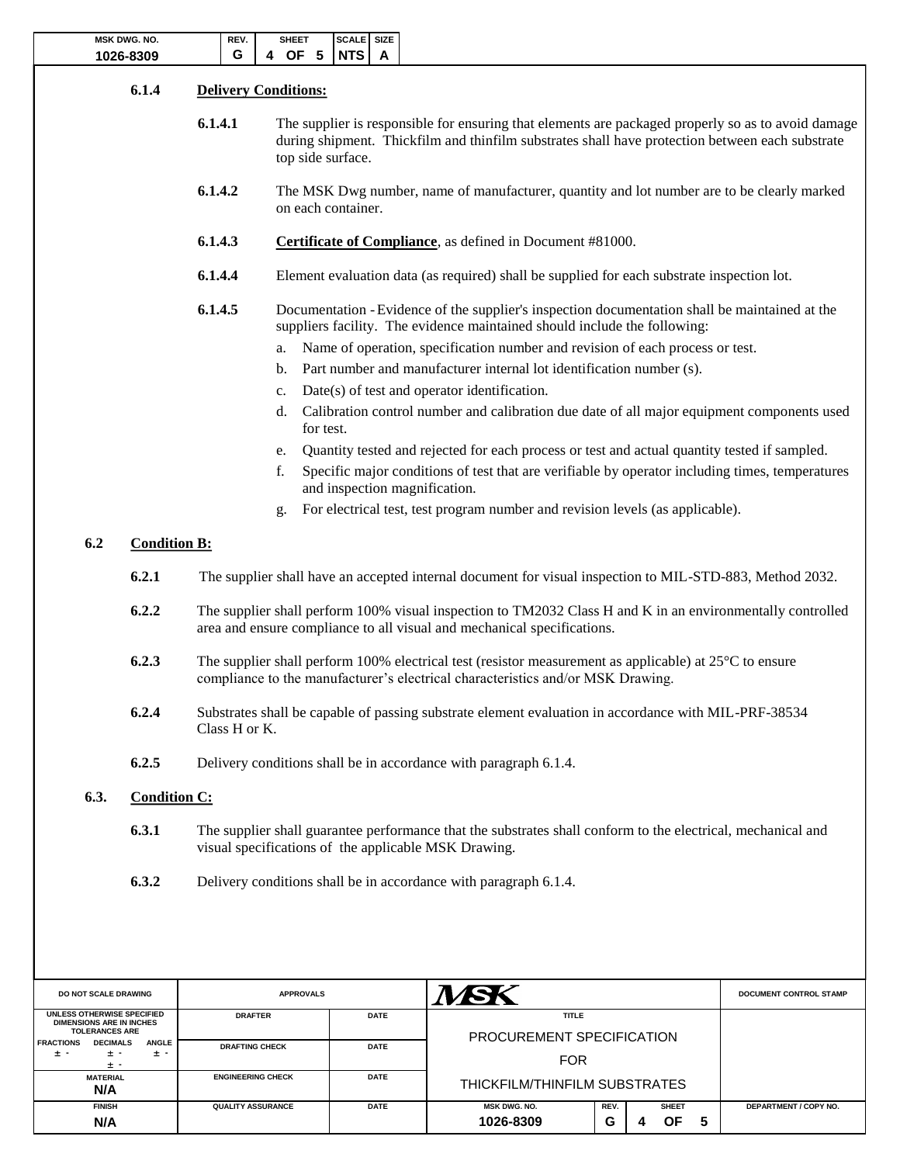|                                                                                                               | <b>MSK DWG. NO.</b><br>1026-8309 | REV.<br>G                | <b>SHEET</b><br>4 OF 5      | SCALE SIZE<br>NTS<br>A                                                                                                                                                                                                     |                                                                                                                                                                                                     |                        |  |  |  |  |  |  |
|---------------------------------------------------------------------------------------------------------------|----------------------------------|--------------------------|-----------------------------|----------------------------------------------------------------------------------------------------------------------------------------------------------------------------------------------------------------------------|-----------------------------------------------------------------------------------------------------------------------------------------------------------------------------------------------------|------------------------|--|--|--|--|--|--|
|                                                                                                               | 6.1.4                            |                          | <b>Delivery Conditions:</b> |                                                                                                                                                                                                                            |                                                                                                                                                                                                     |                        |  |  |  |  |  |  |
|                                                                                                               |                                  | 6.1.4.1                  |                             | The supplier is responsible for ensuring that elements are packaged properly so as to avoid damage<br>during shipment. Thickfilm and thinfilm substrates shall have protection between each substrate<br>top side surface. |                                                                                                                                                                                                     |                        |  |  |  |  |  |  |
|                                                                                                               |                                  | 6.1.4.2                  |                             | The MSK Dwg number, name of manufacturer, quantity and lot number are to be clearly marked<br>on each container.                                                                                                           |                                                                                                                                                                                                     |                        |  |  |  |  |  |  |
|                                                                                                               |                                  | 6.1.4.3                  |                             | <b>Certificate of Compliance</b> , as defined in Document #81000.                                                                                                                                                          |                                                                                                                                                                                                     |                        |  |  |  |  |  |  |
|                                                                                                               |                                  | 6.1.4.4                  |                             |                                                                                                                                                                                                                            | Element evaluation data (as required) shall be supplied for each substrate inspection lot.                                                                                                          |                        |  |  |  |  |  |  |
|                                                                                                               |                                  | 6.1.4.5                  |                             |                                                                                                                                                                                                                            | Documentation - Evidence of the supplier's inspection documentation shall be maintained at the<br>suppliers facility. The evidence maintained should include the following:                         |                        |  |  |  |  |  |  |
|                                                                                                               |                                  |                          | a.<br>b.<br>c.              | Name of operation, specification number and revision of each process or test.<br>Part number and manufacturer internal lot identification number (s).<br>$Date(s)$ of test and operator identification.                    |                                                                                                                                                                                                     |                        |  |  |  |  |  |  |
| Calibration control number and calibration due date of all major equipment components used<br>d.<br>for test. |                                  |                          |                             |                                                                                                                                                                                                                            |                                                                                                                                                                                                     |                        |  |  |  |  |  |  |
|                                                                                                               |                                  |                          | e.                          |                                                                                                                                                                                                                            | Quantity tested and rejected for each process or test and actual quantity tested if sampled.                                                                                                        |                        |  |  |  |  |  |  |
|                                                                                                               |                                  |                          | f.                          | and inspection magnification.                                                                                                                                                                                              | Specific major conditions of test that are verifiable by operator including times, temperatures                                                                                                     |                        |  |  |  |  |  |  |
|                                                                                                               |                                  |                          | g.                          |                                                                                                                                                                                                                            | For electrical test, test program number and revision levels (as applicable).                                                                                                                       |                        |  |  |  |  |  |  |
| 6.2                                                                                                           | <b>Condition B:</b>              |                          |                             |                                                                                                                                                                                                                            |                                                                                                                                                                                                     |                        |  |  |  |  |  |  |
|                                                                                                               |                                  |                          |                             |                                                                                                                                                                                                                            |                                                                                                                                                                                                     |                        |  |  |  |  |  |  |
|                                                                                                               | 6.2.1                            |                          |                             |                                                                                                                                                                                                                            | The supplier shall have an accepted internal document for visual inspection to MIL-STD-883, Method 2032.                                                                                            |                        |  |  |  |  |  |  |
|                                                                                                               | 6.2.2                            |                          |                             |                                                                                                                                                                                                                            | The supplier shall perform 100% visual inspection to TM2032 Class H and K in an environmentally controlled<br>area and ensure compliance to all visual and mechanical specifications.               |                        |  |  |  |  |  |  |
|                                                                                                               | 6.2.3                            |                          |                             |                                                                                                                                                                                                                            | The supplier shall perform 100% electrical test (resistor measurement as applicable) at $25^{\circ}$ C to ensure<br>compliance to the manufacturer's electrical characteristics and/or MSK Drawing. |                        |  |  |  |  |  |  |
|                                                                                                               | 6.2.4                            | Class H or K.            |                             |                                                                                                                                                                                                                            | Substrates shall be capable of passing substrate element evaluation in accordance with MIL-PRF-38534                                                                                                |                        |  |  |  |  |  |  |
|                                                                                                               | 6.2.5                            |                          |                             |                                                                                                                                                                                                                            | Delivery conditions shall be in accordance with paragraph 6.1.4.                                                                                                                                    |                        |  |  |  |  |  |  |
| 6.3.                                                                                                          | <b>Condition C:</b>              |                          |                             |                                                                                                                                                                                                                            |                                                                                                                                                                                                     |                        |  |  |  |  |  |  |
|                                                                                                               | 6.3.1                            |                          |                             |                                                                                                                                                                                                                            | The supplier shall guarantee performance that the substrates shall conform to the electrical, mechanical and<br>visual specifications of the applicable MSK Drawing.                                |                        |  |  |  |  |  |  |
|                                                                                                               | 6.3.2                            |                          |                             |                                                                                                                                                                                                                            | Delivery conditions shall be in accordance with paragraph 6.1.4.                                                                                                                                    |                        |  |  |  |  |  |  |
|                                                                                                               |                                  |                          |                             |                                                                                                                                                                                                                            |                                                                                                                                                                                                     |                        |  |  |  |  |  |  |
| DO NOT SCALE DRAWING                                                                                          |                                  |                          | <b>APPROVALS</b>            |                                                                                                                                                                                                                            | MSK                                                                                                                                                                                                 | DOCUMENT CONTROL STAMP |  |  |  |  |  |  |
| UNLESS OTHERWISE SPECIFIED<br><b>DIMENSIONS ARE IN INCHES</b><br><b>TOLERANCES ARE</b>                        |                                  | <b>DRAFTER</b>           |                             | <b>DATE</b>                                                                                                                                                                                                                | <b>TITLE</b>                                                                                                                                                                                        |                        |  |  |  |  |  |  |
| <b>FRACTIONS</b><br><b>DECIMALS</b><br>± -<br>± -                                                             | <b>ANGLE</b><br>± -              | <b>DRAFTING CHECK</b>    |                             | <b>DATE</b>                                                                                                                                                                                                                | PROCUREMENT SPECIFICATION                                                                                                                                                                           |                        |  |  |  |  |  |  |
| $\pm$ -                                                                                                       |                                  | <b>ENGINEERING CHECK</b> |                             | <b>DATE</b>                                                                                                                                                                                                                | <b>FOR</b>                                                                                                                                                                                          |                        |  |  |  |  |  |  |
| <b>MATERIAL</b><br>N/A                                                                                        |                                  |                          |                             |                                                                                                                                                                                                                            | THICKFILM/THINFILM SUBSTRATES                                                                                                                                                                       |                        |  |  |  |  |  |  |

**FINISH QUALITY ASSURANCE DATE MSK DWG. NO. REV. SHEET DEPARTMENT / COPY NO.**

**G**

**N/A 1026-8309 4 4 6 4 OF 5**